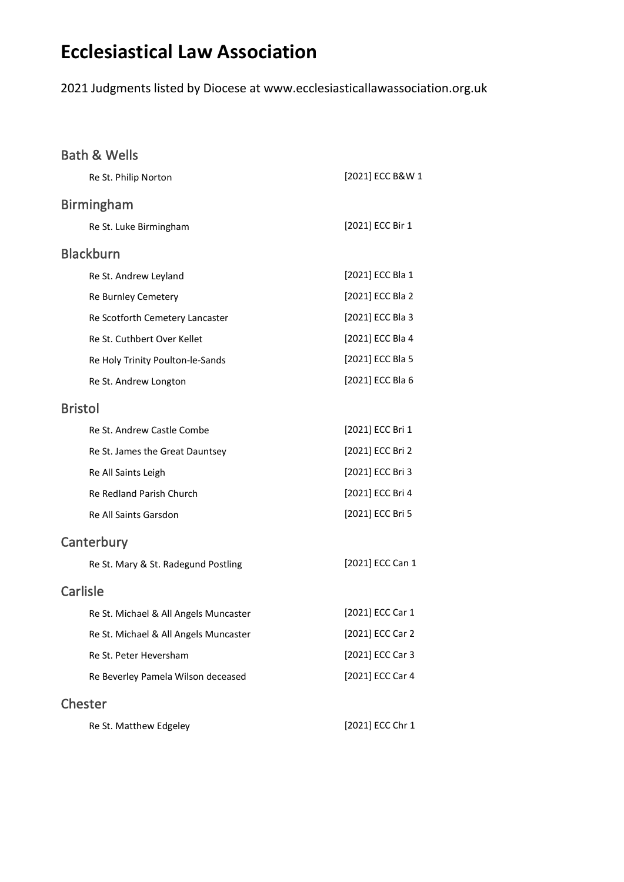# **Ecclesiastical Law Association**

2021 Judgments listed by Diocese at www.ecclesiasticallawassociation.org.uk

| <b>Bath &amp; Wells</b>               |                  |
|---------------------------------------|------------------|
| Re St. Philip Norton                  | [2021] ECC B&W 1 |
| <b>Birmingham</b>                     |                  |
| Re St. Luke Birmingham                | [2021] ECC Bir 1 |
| <b>Blackburn</b>                      |                  |
| Re St. Andrew Leyland                 | [2021] ECC Bla 1 |
| Re Burnley Cemetery                   | [2021] ECC Bla 2 |
| Re Scotforth Cemetery Lancaster       | [2021] ECC Bla 3 |
| Re St. Cuthbert Over Kellet           | [2021] ECC Bla 4 |
| Re Holy Trinity Poulton-le-Sands      | [2021] ECC Bla 5 |
| Re St. Andrew Longton                 | [2021] ECC Bla 6 |
| <b>Bristol</b>                        |                  |
| Re St. Andrew Castle Combe            | [2021] ECC Bri 1 |
| Re St. James the Great Dauntsey       | [2021] ECC Bri 2 |
| Re All Saints Leigh                   | [2021] ECC Bri 3 |
| Re Redland Parish Church              | [2021] ECC Bri 4 |
| Re All Saints Garsdon                 | [2021] ECC Bri 5 |
| Canterbury                            |                  |
| Re St. Mary & St. Radegund Postling   | [2021] ECC Can 1 |
| <b>Carlisle</b>                       |                  |
| Re St. Michael & All Angels Muncaster | [2021] ECC Car 1 |
| Re St. Michael & All Angels Muncaster | [2021] ECC Car 2 |
| Re St. Peter Heversham                | [2021] ECC Car 3 |
| Re Beverley Pamela Wilson deceased    | [2021] ECC Car 4 |
| <b>Chester</b>                        |                  |
| Re St. Matthew Edgeley                | [2021] ECC Chr 1 |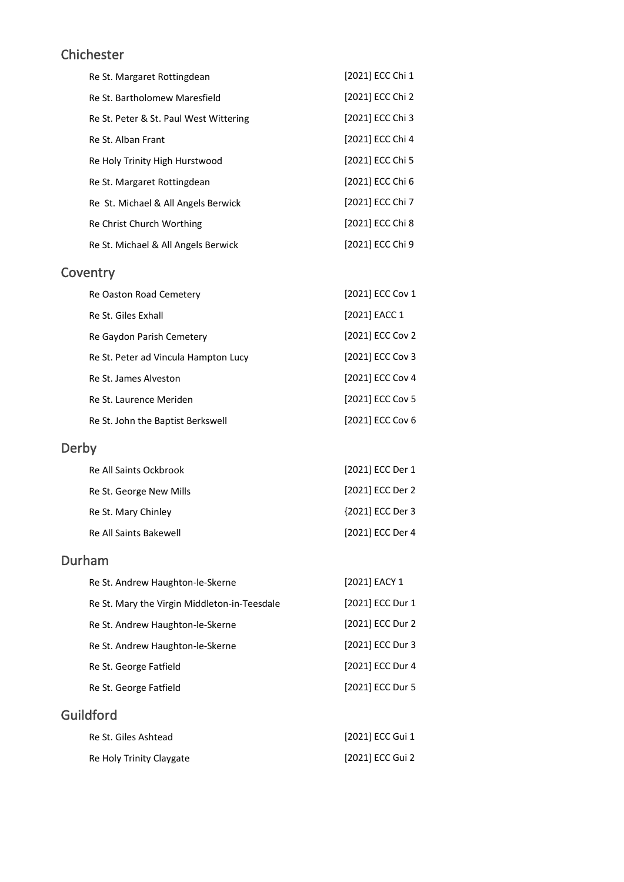#### Chichester

| Re St. Margaret Rottingdean            | [2021] ECC Chi 1 |
|----------------------------------------|------------------|
| Re St. Bartholomew Maresfield          | [2021] ECC Chi 2 |
| Re St. Peter & St. Paul West Wittering | [2021] ECC Chi 3 |
| Re St. Alban Frant                     | [2021] ECC Chi 4 |
| Re Holy Trinity High Hurstwood         | [2021] ECC Chi 5 |
| Re St. Margaret Rottingdean            | [2021] ECC Chi 6 |
| Re St. Michael & All Angels Berwick    | [2021] ECC Chi 7 |
| Re Christ Church Worthing              | [2021] ECC Chi 8 |
| Re St. Michael & All Angels Berwick    | [2021] ECC Chi 9 |

### **Coventry**

| Re Oaston Road Cemetery              | [2021] ECC Cov 1 |
|--------------------------------------|------------------|
| Re St. Giles Exhall                  | [2021] EACC 1    |
| Re Gaydon Parish Cemetery            | [2021] ECC Cov 2 |
| Re St. Peter ad Vincula Hampton Lucy | [2021] ECC Cov 3 |
| Re St. James Alveston                | [2021] ECC Cov 4 |
| Re St. Laurence Meriden              | [2021] ECC Cov 5 |
| Re St. John the Baptist Berkswell    | [2021] ECC Cov 6 |
|                                      |                  |

# Derby

| <b>Re All Saints Ockbrook</b> | [2021] ECC Der 1 |
|-------------------------------|------------------|
| Re St. George New Mills       | [2021] ECC Der 2 |
| Re St. Mary Chinley           | {2021] ECC Der 3 |
| Re All Saints Bakewell        | [2021] ECC Der 4 |

#### Durham

| Re St. Andrew Haughton-le-Skerne             | [2021] EACY 1    |
|----------------------------------------------|------------------|
| Re St. Mary the Virgin Middleton-in-Teesdale | [2021] ECC Dur 1 |
| Re St. Andrew Haughton-le-Skerne             | [2021] ECC Dur 2 |
| Re St. Andrew Haughton-le-Skerne             | [2021] ECC Dur 3 |
| Re St. George Fatfield                       | [2021] ECC Dur 4 |
| Re St. George Fatfield                       | [2021] ECC Dur 5 |
| Guildford                                    |                  |

| Re St. Giles Ashtead     | [2021] ECC Gui 1 |
|--------------------------|------------------|
| Re Holy Trinity Claygate | [2021] ECC Gui 2 |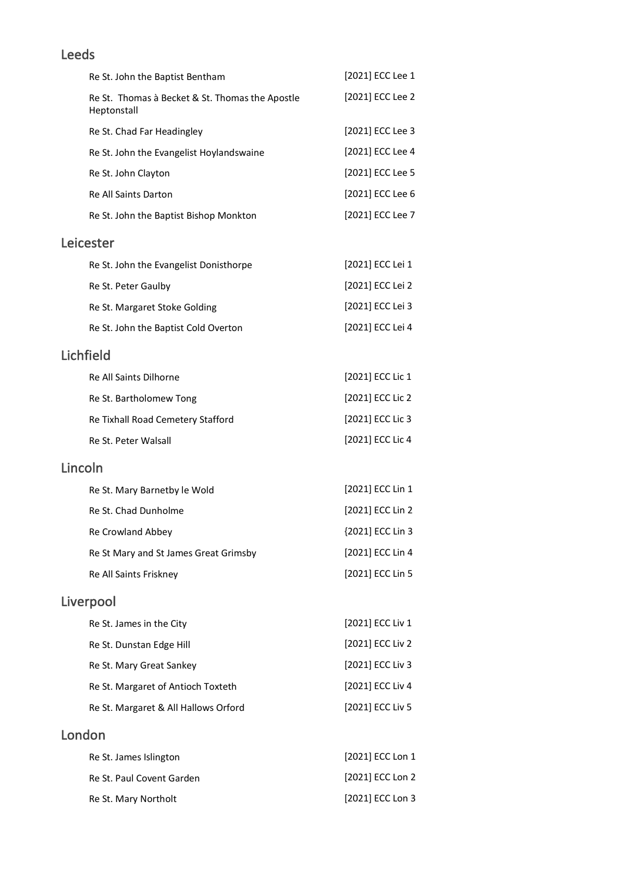### Leeds

| Re St. John the Baptist Bentham                                | [2021] ECC Lee 1 |
|----------------------------------------------------------------|------------------|
| Re St. Thomas à Becket & St. Thomas the Apostle<br>Heptonstall | [2021] ECC Lee 2 |
| Re St. Chad Far Headingley                                     | [2021] ECC Lee 3 |
| Re St. John the Evangelist Hoylandswaine                       | [2021] ECC Lee 4 |
| Re St. John Clayton                                            | [2021] ECC Lee 5 |
| <b>Re All Saints Darton</b>                                    | [2021] ECC Lee 6 |
| Re St. John the Baptist Bishop Monkton                         | [2021] ECC Lee 7 |
| Leicester                                                      |                  |
| Re St. John the Evangelist Donisthorpe                         | [2021] ECC Lei 1 |
| Re St. Peter Gaulby                                            | [2021] ECC Lei 2 |
| Re St. Margaret Stoke Golding                                  | [2021] ECC Lei 3 |
| Re St. John the Baptist Cold Overton                           | [2021] ECC Lei 4 |
| Lichfield                                                      |                  |
| Re All Saints Dilhorne                                         | [2021] ECC Lic 1 |
| Re St. Bartholomew Tong                                        | [2021] ECC Lic 2 |
| Re Tixhall Road Cemetery Stafford                              | [2021] ECC Lic 3 |
| Re St. Peter Walsall                                           | [2021] ECC Lic 4 |
| Lincoln                                                        |                  |
| Re St. Mary Barnetby le Wold                                   | [2021] ECC Lin 1 |
| Re St. Chad Dunholme                                           | [2021] ECC Lin 2 |
| Re Crowland Abbey                                              | {2021] ECC Lin 3 |
| Re St Mary and St James Great Grimsby                          | [2021] ECC Lin 4 |
| <b>Re All Saints Friskney</b>                                  | [2021] ECC Lin 5 |

# Liverpool

| Re St. James in the City             | [2021] ECC Liv 1 |
|--------------------------------------|------------------|
| Re St. Dunstan Edge Hill             | [2021] ECC Liv 2 |
| Re St. Mary Great Sankey             | [2021] ECC Liv 3 |
| Re St. Margaret of Antioch Toxteth   | [2021] ECC Liv 4 |
| Re St. Margaret & All Hallows Orford | [2021] ECC Liv 5 |
|                                      |                  |

# London

| Re St. James Islington    | [2021] ECC Lon 1 |
|---------------------------|------------------|
| Re St. Paul Covent Garden | [2021] ECC Lon 2 |
| Re St. Mary Northolt      | [2021] ECC Lon 3 |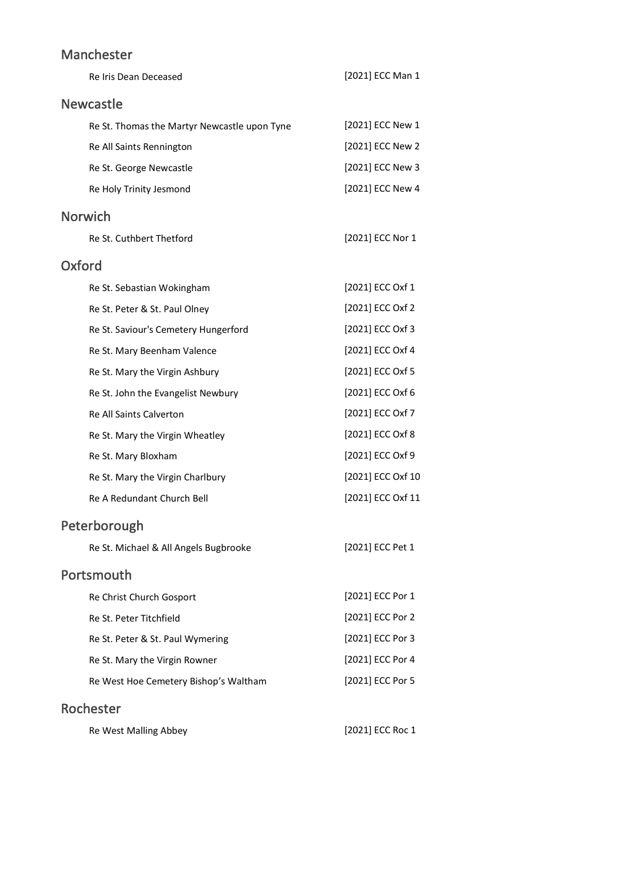### Manchester

| Re Iris Dean Deceased                        | [2021] ECC Man 1  |
|----------------------------------------------|-------------------|
| <b>Newcastle</b>                             |                   |
| Re St. Thomas the Martyr Newcastle upon Tyne | [2021] ECC New 1  |
| Re All Saints Rennington                     | [2021] ECC New 2  |
| Re St. George Newcastle                      | [2021] ECC New 3  |
| Re Holy Trinity Jesmond                      | [2021] ECC New 4  |
| <b>Norwich</b>                               |                   |
| Re St. Cuthbert Thetford                     | [2021] ECC Nor 1  |
| <b>Oxford</b>                                |                   |
| Re St. Sebastian Wokingham                   | [2021] ECC Oxf 1  |
| Re St. Peter & St. Paul Olney                | [2021] ECC Oxf 2  |
| Re St. Saviour's Cemetery Hungerford         | [2021] ECC Oxf 3  |
| Re St. Mary Beenham Valence                  | [2021] ECC Oxf 4  |
| Re St. Mary the Virgin Ashbury               | [2021] ECC Oxf 5  |
| Re St. John the Evangelist Newbury           | [2021] ECC Oxf 6  |
| Re All Saints Calverton                      | [2021] ECC Oxf 7  |
| Re St. Mary the Virgin Wheatley              | [2021] ECC Oxf 8  |
| Re St. Mary Bloxham                          | [2021] ECC Oxf 9  |
| Re St. Mary the Virgin Charlbury             | [2021] ECC Oxf 10 |
| Re A Redundant Church Bell                   | [2021] ECC Oxf 11 |
| Peterborough                                 |                   |
| Re St. Michael & All Angels Bugbrooke        | [2021] ECC Pet 1  |
| Portsmouth                                   |                   |
| Re Christ Church Gosport                     | [2021] ECC Por 1  |
| Re St. Peter Titchfield                      | [2021] ECC Por 2  |
| Re St. Peter & St. Paul Wymering             | [2021] ECC Por 3  |
| Re St. Mary the Virgin Rowner                | [2021] ECC Por 4  |
| Re West Hoe Cemetery Bishop's Waltham        | [2021] ECC Por 5  |
| Rochester                                    |                   |
| Re West Malling Abbey                        | [2021] ECC Roc 1  |
|                                              |                   |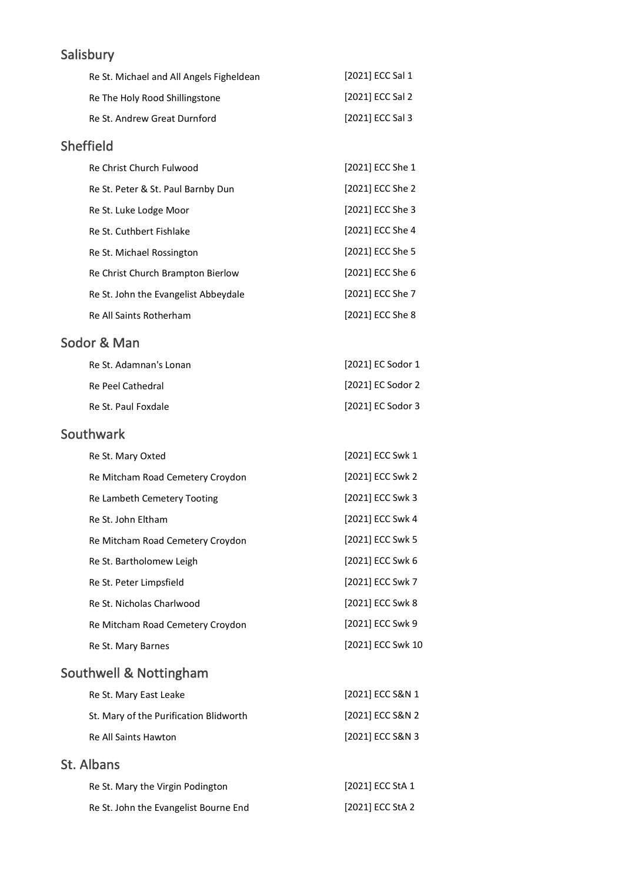### Salisbury

| Re St. Michael and All Angels Figheldean | [2021] ECC Sal 1            |
|------------------------------------------|-----------------------------|
| Re The Holy Rood Shillingstone           | [2021] ECC Sal 2            |
| Re St. Andrew Great Durnford             | [2021] ECC Sal 3            |
| <b>Sheffield</b>                         |                             |
| Re Christ Church Fulwood                 | [2021] ECC She 1            |
| Bo St. Botor R. St. Baul Barnbu Dun      | $[7021]$ FCC ל-0.5 $\alpha$ |

| Re St. Peter & St. Paul Barnby Dun   | 120211 ECC She 2 |
|--------------------------------------|------------------|
| Re St. Luke Lodge Moor               | [2021] ECC She 3 |
| Re St. Cuthbert Fishlake             | [2021] ECC She 4 |
| Re St. Michael Rossington            | [2021] ECC She 5 |
| Re Christ Church Brampton Bierlow    | [2021] ECC She 6 |
| Re St. John the Evangelist Abbeydale | [2021] ECC She 7 |
| Re All Saints Rotherham              | [2021] ECC She 8 |

#### Sodor & Man

| Re St. Adamnan's Lonan | [2021] EC Sodor 1 |
|------------------------|-------------------|
| Re Peel Cathedral      | [2021] EC Sodor 2 |
| Re St. Paul Foxdale    | [2021] EC Sodor 3 |

#### Southwark

| Re St. Mary Oxted                | [2021] ECC Swk 1  |
|----------------------------------|-------------------|
| Re Mitcham Road Cemetery Croydon | [2021] ECC Swk 2  |
| Re Lambeth Cemetery Tooting      | [2021] ECC Swk 3  |
| Re St. John Eltham               | [2021] ECC Swk 4  |
| Re Mitcham Road Cemetery Croydon | [2021] ECC Swk 5  |
| Re St. Bartholomew Leigh         | [2021] ECC Swk 6  |
| Re St. Peter Limpsfield          | [2021] ECC Swk 7  |
| Re St. Nicholas Charlwood        | [2021] ECC Swk 8  |
| Re Mitcham Road Cemetery Croydon | [2021] ECC Swk 9  |
| Re St. Mary Barnes               | [2021] ECC Swk 10 |
|                                  |                   |

### Southwell & Nottingham

| Re St. Mary East Leake                 | [2021] ECC S&N 1 |
|----------------------------------------|------------------|
| St. Mary of the Purification Blidworth | [2021] ECC S&N 2 |
| Re All Saints Hawton                   | [2021] ECC S&N 3 |
|                                        |                  |

#### St. Albans

| Re St. Mary the Virgin Podington      | [2021] ECC StA 1 |
|---------------------------------------|------------------|
| Re St. John the Evangelist Bourne End | [2021] ECC StA 2 |